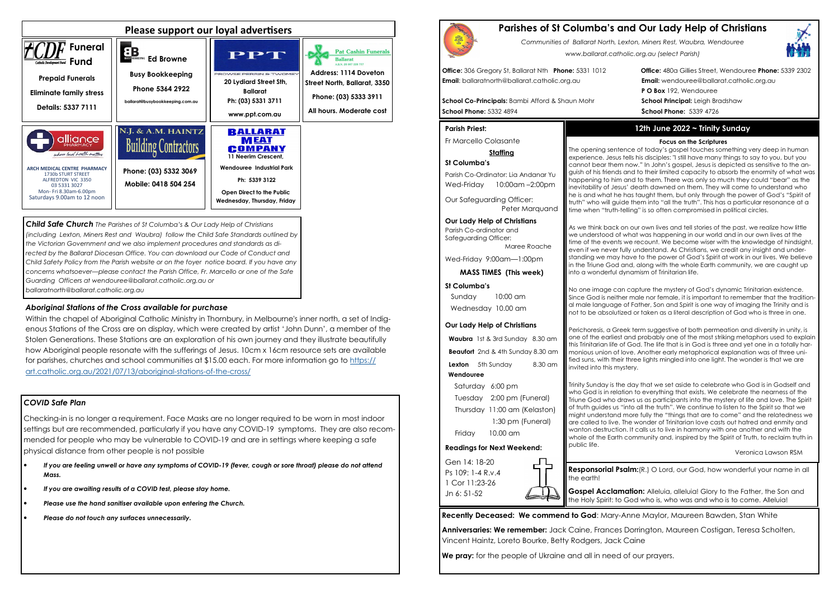# *COVID Safe Plan*

Checking-in is no longer a requirement. Face Masks are no longer required to be worn in most indoor settings but are recommended, particularly if you have any COVID-19 symptoms. They are also recommended for people who may be vulnerable to COVID-19 and are in settings where keeping a safe physical distance from other people is not possible

- *If you are feeling unwell or have any symptoms of COVID-19 (fever, cough or sore throat) please do not attend Mass.*
- *If you are awaiting results of a COVID test, please stay home.*
- *Please use the hand sanitiser available upon entering the Church.*
- *Please do not touch any surfaces unnecessarily.*





*Child Safe Church The Parishes of St Columba's & Our Lady Help of Christians (including Lexton, Miners Rest and Waubra) follow the Child Safe Standards outlined by the Victorian Government and we also implement procedures and standards as di*rected by the Ballarat Diocesan Office. You can download our Code of Conduct and *Child Safety Policy from the Parish website or on the foyer notice board. If you have any concerns whatsoever—please contact the Parish Office, Fr. Marcello or one of the Safe Guarding Officers at wendouree@ballarat.catholic.org.au or ballaratnorth@ballarat.catholic.org.au* 

Parish Co-Ordinator: Lia Andanar Yu Wed-Friday 10:00am -2:00pm

**Waubra** 1st & 3rd Sunday 8.30 am **Beaufort** 2nd & 4th Sunday 8.30 am **Lexton** 5th Sunday 8.30 am

## *Aboriginal Stations of the Cross available for purchase*

 Within the chapel of Aboriginal Catholic Ministry in Thornbury, in Melbourne's inner north, a set of Indigenous Stations of the Cross are on display, which were created by artist 'John Dunn', a member of the Stolen Generations. These Stations are an exploration of his own journey and they illustrate beautifully how Aboriginal people resonate with the sufferings of Jesus. 10cm x 16cm resource sets are available for parishes, churches and school communities at \$15.00 each. For more information go to https://art.catholic.org.au/2021/07/13/aboriginal-stations-of-the-cross/

# **Parishes of St Columba's and Our Lady Help of Christians**

*Communities of Ballarat North, Lexton, Miners Rest, Waubra, Wendouree www.ballarat.catholic.org.au (select Parish)* 

**Office:** 306 Gregory St, Ballarat Nth **Phone:** 5331 1012 **Office:** 480a Gillies Street, Wendouree **Phone:** 5339 2302**P O Box** 192, Wendouree

**Email**: ballaratnorth@ballarat.catholic.org.au **Email:** wendouree@ballarat.catholic.org.au

**School Co-Principals:** Bambi Afford & Shaun Mohr **School Principal:** Leigh Bradshaw **School Phone:** 5332 4894 **School Phone:** 5339 4726

## **Parish Priest:**

Fr Marcello Colasante

## **Staffing**

## **St Columba's**

Our Safeguarding Officer: Peter Marquand

## **Our Lady Help of Christians**

Parish Co-ordinator and Safeguarding Officer: Maree Roache

Wed-Friday 9:00am—1:00pm

**MASS TIMES (This week)**

## **St Columba's**

 Sunday 10:00 am Wednesday 10.00 am

### **Our Lady Help of Christians**

**Gospel Acclamation:** Alleluia, alleluia! Glory to the Father, the Son and the Holy Spirit: to God who is, who was and who is to come. Alleluia!

### **Wendouree**

Saturday 6:00 pm Tuesday 2:00 pm (Funeral) Thursday 11:00 am (Kelaston) 1:30 pm (Funeral) Friday 10.00 am

## **Readings for Next Weekend:**

Gen 14: 18-20 Ps 109: 1-4 R.v.4 1 Cor 11:23-26 Jn 6: 51-52

**Recently Deceased: We commend to God**: Mary-Anne Maylor, Maureen Bawden, Stan White

**Anniversaries: We remember:** Jack Caine, Frances Dorrington, Maureen Costigan, Teresa Scholten, Vincent Haintz, Loreto Bourke, Betty Rodgers, Jack Caine

**We pray:** for the people of Ukraine and all in need of our prayers.

# **12th June 2022 ~ Trinity Sunday**

## **Focus on the Scriptures**

 The opening sentence of today's gospel touches something very deep in human experience. Jesus tells his disciples: "I still have many things to say to you, but you cannot bear them now." In John's gospel, Jesus is depicted as sensitive to the anguish of his friends and to their limited capacity to absorb the enormity of what was happening to him and to them. There was only so much they could "bear" as the inevitability of Jesus' death dawned on them. They will come to understand who he is and what he has taught them, but only through the power of God's "Spirit of truth" who will guide them into "all the truth". This has a particular resonance at a time when "truth-telling" is so often compromised in political circles.

As we think back on our own lives and tell stories of the past, we realize how little we understood of what was happening in our world and in our own lives at the time of the events we recount. We become wiser with the knowledge of hindsight, even if we never fully understand. As Christians, we credit any insight and understanding we may have to the power of God's Spirit at work in our lives. We believe in the Triune God and, along with the whole Earth community, we are caught up into a wonderful dynamism of Trinitarian life.

No one image can capture the mystery of God's dynamic Trinitarian existence. Since God is neither male nor female, it is important to remember that the traditional male language of Father, Son and Spirit is one way of imaging the Trinity and is not to be absolutized or taken as a literal description of God who is three in one.

Perichoresis, a Greek term suggestive of both permeation and diversity in unity, is one of the earliest and probably one of the most striking metaphors used to explain this Trinitarian life of God. The life that is in God is three and yet one in a totally harmonious union of love. Another early metaphorical explanation was of three unified suns, with their three lights mingled into one light. The wonder is that we are invited into this mystery.



Trinity Sunday is the day that we set aside to celebrate who God is in Godself and who God is in relation to everything that exists. We celebrate the nearness of the Triune God who draws us as participants into the mystery of life and love. The Spirit of truth guides us "into all the truth". We continue to listen to the Spirit so that we might understand more fully the "things that are to come" and the relatedness we are called to live. The wonder of Trinitarian love casts out hatred and enmity and wanton destruction. It calls us to live in harmony with one another and with the whole of the Earth community and, inspired by the Spirit of Truth, to reclaim truth in

public life.

Veronica Lawson RSM

**Responsorial Psalm:**(R.) O Lord, our God, how wonderful your name in all